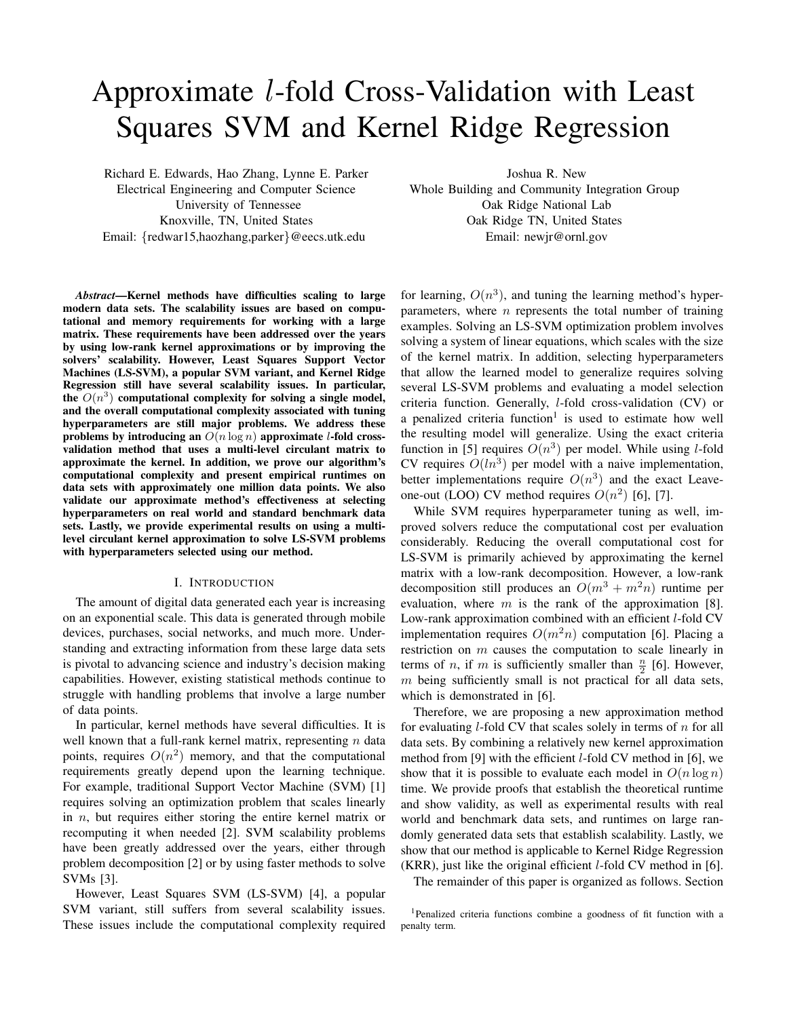# Approximate l-fold Cross-Validation with Least Squares SVM and Kernel Ridge Regression

Richard E. Edwards, Hao Zhang, Lynne E. Parker Electrical Engineering and Computer Science University of Tennessee Knoxville, TN, United States Email: {redwar15,haozhang,parker}@eecs.utk.edu

*Abstract*—Kernel methods have difficulties scaling to large modern data sets. The scalability issues are based on computational and memory requirements for working with a large matrix. These requirements have been addressed over the years by using low-rank kernel approximations or by improving the solvers' scalability. However, Least Squares Support Vector Machines (LS-SVM), a popular SVM variant, and Kernel Ridge Regression still have several scalability issues. In particular, the  $O(n^3)$  computational complexity for solving a single model, and the overall computational complexity associated with tuning hyperparameters are still major problems. We address these problems by introducing an  $O(n \log n)$  approximate l-fold crossvalidation method that uses a multi-level circulant matrix to approximate the kernel. In addition, we prove our algorithm's computational complexity and present empirical runtimes on data sets with approximately one million data points. We also validate our approximate method's effectiveness at selecting hyperparameters on real world and standard benchmark data sets. Lastly, we provide experimental results on using a multilevel circulant kernel approximation to solve LS-SVM problems with hyperparameters selected using our method.

#### I. INTRODUCTION

The amount of digital data generated each year is increasing on an exponential scale. This data is generated through mobile devices, purchases, social networks, and much more. Understanding and extracting information from these large data sets is pivotal to advancing science and industry's decision making capabilities. However, existing statistical methods continue to struggle with handling problems that involve a large number of data points.

In particular, kernel methods have several difficulties. It is well known that a full-rank kernel matrix, representing  $n$  data points, requires  $O(n^2)$  memory, and that the computational requirements greatly depend upon the learning technique. For example, traditional Support Vector Machine (SVM) [1] requires solving an optimization problem that scales linearly in  $n$ , but requires either storing the entire kernel matrix or recomputing it when needed [2]. SVM scalability problems have been greatly addressed over the years, either through problem decomposition [2] or by using faster methods to solve SVMs [3].

However, Least Squares SVM (LS-SVM) [4], a popular SVM variant, still suffers from several scalability issues. These issues include the computational complexity required Joshua R. New

Whole Building and Community Integration Group Oak Ridge National Lab Oak Ridge TN, United States Email: newjr@ornl.gov

for learning,  $O(n^3)$ , and tuning the learning method's hyperparameters, where  $n$  represents the total number of training examples. Solving an LS-SVM optimization problem involves solving a system of linear equations, which scales with the size of the kernel matrix. In addition, selecting hyperparameters that allow the learned model to generalize requires solving several LS-SVM problems and evaluating a model selection criteria function. Generally, l-fold cross-validation (CV) or a penalized criteria function<sup>1</sup> is used to estimate how well the resulting model will generalize. Using the exact criteria function in [5] requires  $O(n^3)$  per model. While using *l*-fold CV requires  $O(ln^3)$  per model with a naive implementation, better implementations require  $O(n^3)$  and the exact Leaveone-out (LOO) CV method requires  $O(n^2)$  [6], [7].

While SVM requires hyperparameter tuning as well, improved solvers reduce the computational cost per evaluation considerably. Reducing the overall computational cost for LS-SVM is primarily achieved by approximating the kernel matrix with a low-rank decomposition. However, a low-rank decomposition still produces an  $O(m^3 + m^2n)$  runtime per evaluation, where  $m$  is the rank of the approximation [8]. Low-rank approximation combined with an efficient l-fold CV implementation requires  $O(m^2n)$  computation [6]. Placing a restriction on m causes the computation to scale linearly in terms of *n*, if *m* is sufficiently smaller than  $\frac{n}{2}$  [6]. However,  $m$  being sufficiently small is not practical for all data sets, which is demonstrated in [6].

Therefore, we are proposing a new approximation method for evaluating  $l$ -fold CV that scales solely in terms of  $n$  for all data sets. By combining a relatively new kernel approximation method from [9] with the efficient  $l$ -fold CV method in [6], we show that it is possible to evaluate each model in  $O(n \log n)$ time. We provide proofs that establish the theoretical runtime and show validity, as well as experimental results with real world and benchmark data sets, and runtimes on large randomly generated data sets that establish scalability. Lastly, we show that our method is applicable to Kernel Ridge Regression (KRR), just like the original efficient  $l$ -fold CV method in [6].

The remainder of this paper is organized as follows. Section

<sup>1</sup>Penalized criteria functions combine a goodness of fit function with a penalty term.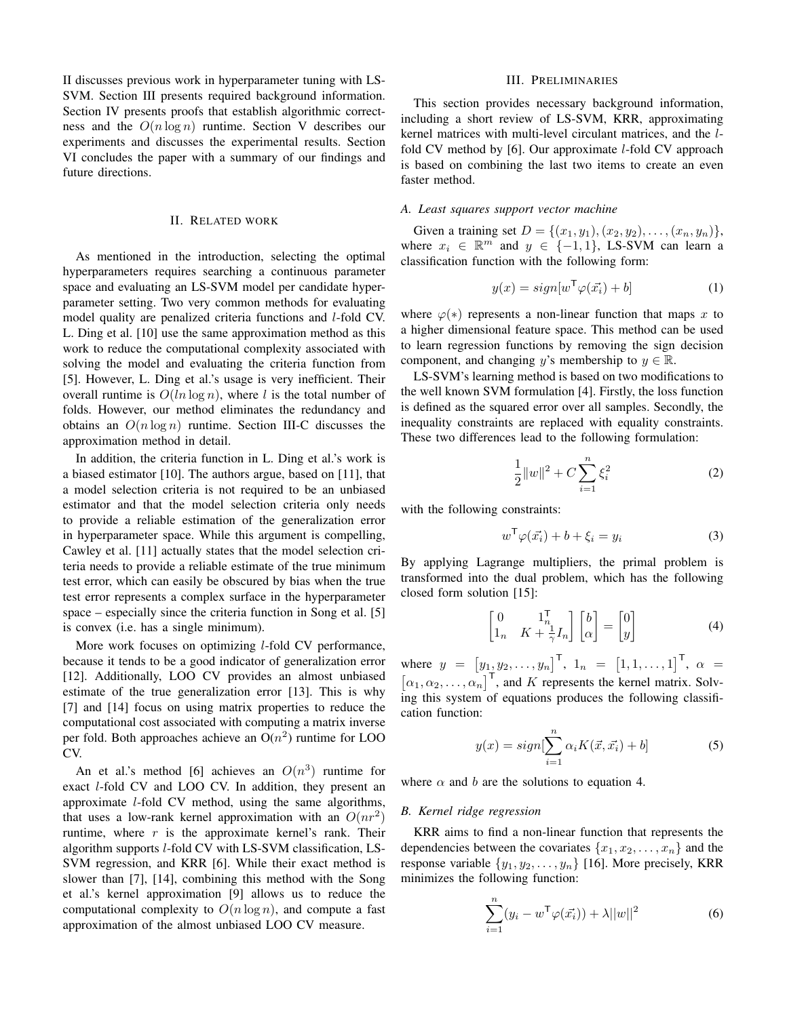II discusses previous work in hyperparameter tuning with LS-SVM. Section III presents required background information. Section IV presents proofs that establish algorithmic correctness and the  $O(n \log n)$  runtime. Section V describes our experiments and discusses the experimental results. Section VI concludes the paper with a summary of our findings and future directions.

#### II. RELATED WORK

As mentioned in the introduction, selecting the optimal hyperparameters requires searching a continuous parameter space and evaluating an LS-SVM model per candidate hyperparameter setting. Two very common methods for evaluating model quality are penalized criteria functions and l-fold CV. L. Ding et al. [10] use the same approximation method as this work to reduce the computational complexity associated with solving the model and evaluating the criteria function from [5]. However, L. Ding et al.'s usage is very inefficient. Their overall runtime is  $O(ln \log n)$ , where l is the total number of folds. However, our method eliminates the redundancy and obtains an  $O(n \log n)$  runtime. Section III-C discusses the approximation method in detail.

In addition, the criteria function in L. Ding et al.'s work is a biased estimator [10]. The authors argue, based on [11], that a model selection criteria is not required to be an unbiased estimator and that the model selection criteria only needs to provide a reliable estimation of the generalization error in hyperparameter space. While this argument is compelling, Cawley et al. [11] actually states that the model selection criteria needs to provide a reliable estimate of the true minimum test error, which can easily be obscured by bias when the true test error represents a complex surface in the hyperparameter space – especially since the criteria function in Song et al. [5] is convex (i.e. has a single minimum).

More work focuses on optimizing *l*-fold CV performance, because it tends to be a good indicator of generalization error [12]. Additionally, LOO CV provides an almost unbiased estimate of the true generalization error [13]. This is why [7] and [14] focus on using matrix properties to reduce the computational cost associated with computing a matrix inverse per fold. Both approaches achieve an  $O(n^2)$  runtime for LOO CV.

An et al.'s method [6] achieves an  $O(n^3)$  runtime for exact l-fold CV and LOO CV. In addition, they present an approximate l-fold CV method, using the same algorithms, that uses a low-rank kernel approximation with an  $O(nr^2)$ runtime, where  $r$  is the approximate kernel's rank. Their algorithm supports l-fold CV with LS-SVM classification, LS-SVM regression, and KRR [6]. While their exact method is slower than [7], [14], combining this method with the Song et al.'s kernel approximation [9] allows us to reduce the computational complexity to  $O(n \log n)$ , and compute a fast approximation of the almost unbiased LOO CV measure.

#### III. PRELIMINARIES

This section provides necessary background information, including a short review of LS-SVM, KRR, approximating kernel matrices with multi-level circulant matrices, and the lfold CV method by [6]. Our approximate l-fold CV approach is based on combining the last two items to create an even faster method.

## *A. Least squares support vector machine*

Given a training set  $D = \{(x_1, y_1), (x_2, y_2), \dots, (x_n, y_n)\},\$ where  $x_i \in \mathbb{R}^m$  and  $y \in \{-1, 1\}$ , LS-SVM can learn a classification function with the following form:

$$
y(x) = sign[w^{\mathsf{T}} \varphi(\vec{x_i}) + b]
$$
 (1)

where  $\varphi(*)$  represents a non-linear function that maps x to a higher dimensional feature space. This method can be used to learn regression functions by removing the sign decision component, and changing y's membership to  $y \in \mathbb{R}$ .

LS-SVM's learning method is based on two modifications to the well known SVM formulation [4]. Firstly, the loss function is defined as the squared error over all samples. Secondly, the inequality constraints are replaced with equality constraints. These two differences lead to the following formulation:

$$
\frac{1}{2}||w||^2 + C\sum_{i=1}^n \xi_i^2
$$
 (2)

with the following constraints:

$$
w^{\mathsf{T}}\varphi(\vec{x_i}) + b + \xi_i = y_i \tag{3}
$$

By applying Lagrange multipliers, the primal problem is transformed into the dual problem, which has the following closed form solution [15]:

$$
\begin{bmatrix} 0 & 1_n^{\mathsf{T}} \\ 1_n & K + \frac{1}{\gamma} I_n \end{bmatrix} \begin{bmatrix} b \\ \alpha \end{bmatrix} = \begin{bmatrix} 0 \\ y \end{bmatrix}
$$
 (4)

where  $y = [y_1, y_2, \dots, y_n]^\top$ ,  $1_n = [1, 1, \dots, 1]^\top$ ,  $\alpha =$  $[\alpha_1, \alpha_2, \ldots, \alpha_n]^\mathsf{T}$ , and K represents the kernel matrix. Solving this system of equations produces the following classification function:

$$
y(x) = sign[\sum_{i=1}^{n} \alpha_i K(\vec{x}, \vec{x_i}) + b]
$$
 (5)

where  $\alpha$  and b are the solutions to equation 4.

## *B. Kernel ridge regression*

KRR aims to find a non-linear function that represents the dependencies between the covariates  $\{x_1, x_2, \ldots, x_n\}$  and the response variable  $\{y_1, y_2, \ldots, y_n\}$  [16]. More precisely, KRR minimizes the following function:

$$
\sum_{i=1}^{n} (y_i - w^\mathsf{T} \varphi(\vec{x_i})) + \lambda ||w||^2 \tag{6}
$$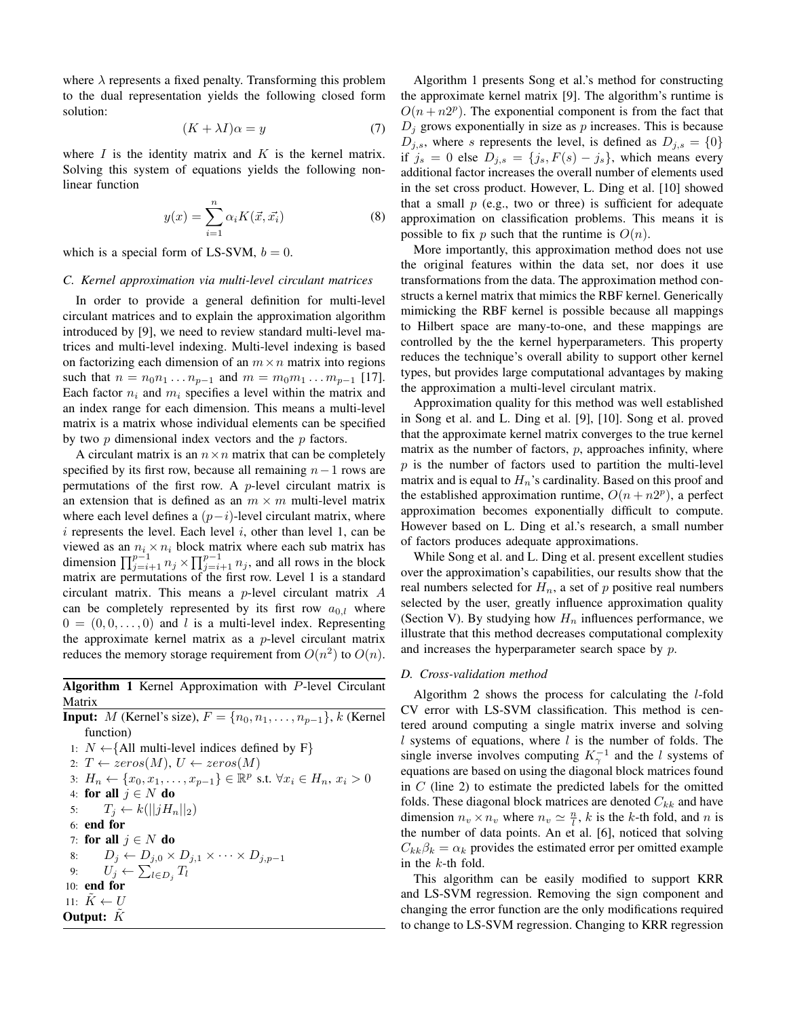where  $\lambda$  represents a fixed penalty. Transforming this problem to the dual representation yields the following closed form solution:

$$
(K + \lambda I)\alpha = y \tag{7}
$$

where  $I$  is the identity matrix and  $K$  is the kernel matrix. Solving this system of equations yields the following nonlinear function

$$
y(x) = \sum_{i=1}^{n} \alpha_i K(\vec{x}, \vec{x_i})
$$
 (8)

which is a special form of LS-SVM,  $b = 0$ .

#### *C. Kernel approximation via multi-level circulant matrices*

In order to provide a general definition for multi-level circulant matrices and to explain the approximation algorithm introduced by [9], we need to review standard multi-level matrices and multi-level indexing. Multi-level indexing is based on factorizing each dimension of an  $m \times n$  matrix into regions such that  $n = n_0 n_1 ... n_{p-1}$  and  $m = m_0 m_1 ... m_{p-1}$  [17]. Each factor  $n_i$  and  $m_i$  specifies a level within the matrix and an index range for each dimension. This means a multi-level matrix is a matrix whose individual elements can be specified by two  $p$  dimensional index vectors and the  $p$  factors.

A circulant matrix is an  $n \times n$  matrix that can be completely specified by its first row, because all remaining  $n-1$  rows are permutations of the first row. A  $p$ -level circulant matrix is an extension that is defined as an  $m \times m$  multi-level matrix where each level defines a  $(p-i)$ -level circulant matrix, where  $i$  represents the level. Each level  $i$ , other than level 1, can be viewed as an  $n_i \times n_i$  block matrix where each sub matrix has dimension  $\prod_{j=i+1}^{p-1} n_j \times \prod_{j=i+1}^{p-1} n_j$ , and all rows in the block matrix are permutations of the first row. Level 1 is a standard circulant matrix. This means a p-level circulant matrix A can be completely represented by its first row  $a_{0,l}$  where  $0 = (0, 0, \ldots, 0)$  and l is a multi-level index. Representing the approximate kernel matrix as a  $p$ -level circulant matrix reduces the memory storage requirement from  $O(n^2)$  to  $O(n)$ .

Algorithm 1 Kernel Approximation with P-level Circulant Matrix

**Input:** *M* (Kernel's size),  $F = \{n_0, n_1, \ldots, n_{p-1}\}, k$  (Kernel function) 1:  $N \leftarrow \{All multi-level indices defined by F\}$ 2:  $T \leftarrow zeros(M), U \leftarrow zeros(M)$ 3:  $H_n \leftarrow \{x_0, x_1, \ldots, x_{p-1}\} \in \mathbb{R}^p$  s.t. ∀ $x_i \in H_n$ ,  $x_i > 0$ 4: for all  $j \in N$  do 5:  $T_i \leftarrow k(||jH_n||_2)$ 6: end for 7: for all  $j \in N$  do 8:  $D_j \leftarrow D_{j,0} \times D_{j,1} \times \cdots \times D_{j,p-1}$ 9:  $U_j \leftarrow \sum_{l \in D_j} T_l$ 10: end for 11:  $\tilde{K} \leftarrow U$ Output:  $K$ 

Algorithm 1 presents Song et al.'s method for constructing the approximate kernel matrix [9]. The algorithm's runtime is  $O(n + n2<sup>p</sup>)$ . The exponential component is from the fact that  $D_j$  grows exponentially in size as p increases. This is because  $D_{j,s}$ , where s represents the level, is defined as  $D_{j,s} = \{0\}$ if  $j_s = 0$  else  $D_{j,s} = \{j_s, F(s) - j_s\}$ , which means every additional factor increases the overall number of elements used in the set cross product. However, L. Ding et al. [10] showed that a small  $p$  (e.g., two or three) is sufficient for adequate approximation on classification problems. This means it is possible to fix p such that the runtime is  $O(n)$ .

More importantly, this approximation method does not use the original features within the data set, nor does it use transformations from the data. The approximation method constructs a kernel matrix that mimics the RBF kernel. Generically mimicking the RBF kernel is possible because all mappings to Hilbert space are many-to-one, and these mappings are controlled by the the kernel hyperparameters. This property reduces the technique's overall ability to support other kernel types, but provides large computational advantages by making the approximation a multi-level circulant matrix.

Approximation quality for this method was well established in Song et al. and L. Ding et al. [9], [10]. Song et al. proved that the approximate kernel matrix converges to the true kernel matrix as the number of factors,  $p$ , approaches infinity, where  $p$  is the number of factors used to partition the multi-level matrix and is equal to  $H_n$ 's cardinality. Based on this proof and the established approximation runtime,  $O(n + n2<sup>p</sup>)$ , a perfect approximation becomes exponentially difficult to compute. However based on L. Ding et al.'s research, a small number of factors produces adequate approximations.

While Song et al. and L. Ding et al. present excellent studies over the approximation's capabilities, our results show that the real numbers selected for  $H_n$ , a set of p positive real numbers selected by the user, greatly influence approximation quality (Section V). By studying how  $H_n$  influences performance, we illustrate that this method decreases computational complexity and increases the hyperparameter search space by p.

## *D. Cross-validation method*

Algorithm 2 shows the process for calculating the  $l$ -fold CV error with LS-SVM classification. This method is centered around computing a single matrix inverse and solving  $l$  systems of equations, where  $l$  is the number of folds. The single inverse involves computing  $K_{\gamma}^{-1}$  and the l systems of equations are based on using the diagonal block matrices found in  $C$  (line 2) to estimate the predicted labels for the omitted folds. These diagonal block matrices are denoted  $C_{kk}$  and have dimension  $n_v \times n_v$  where  $n_v \simeq \frac{n}{l}$ , k is the k-th fold, and n is the number of data points. An et al. [6], noticed that solving  $C_{kk}\beta_k = \alpha_k$  provides the estimated error per omitted example in the  $k$ -th fold.

This algorithm can be easily modified to support KRR and LS-SVM regression. Removing the sign component and changing the error function are the only modifications required to change to LS-SVM regression. Changing to KRR regression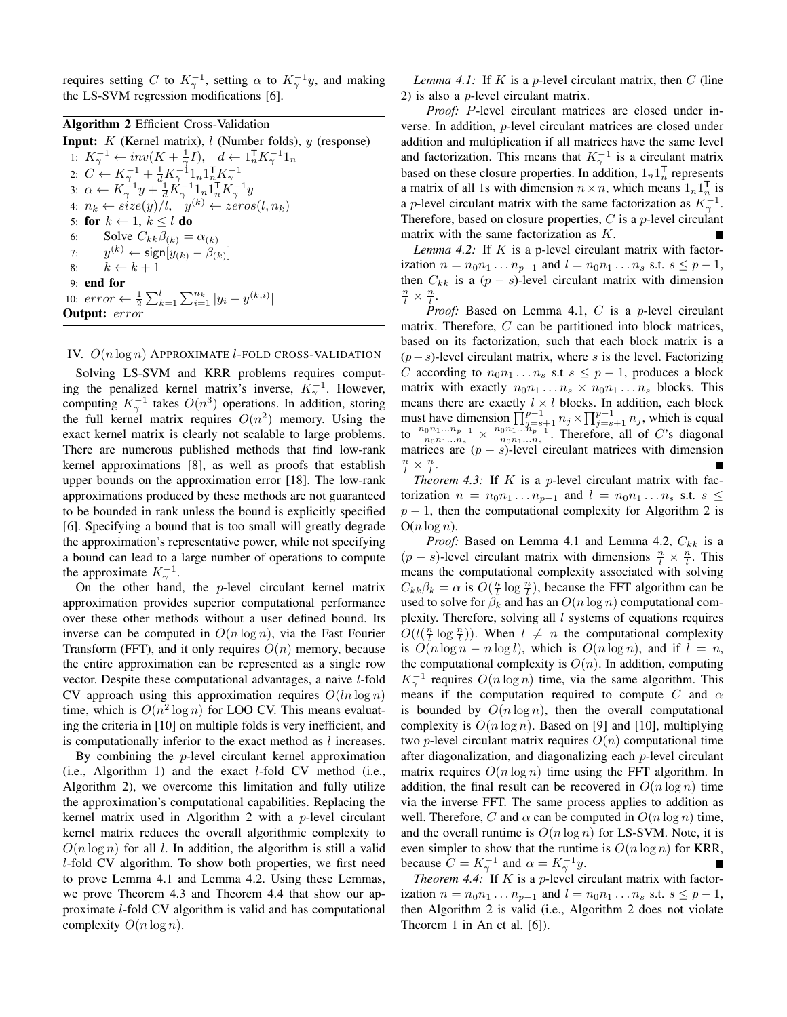requires setting C to  $K_{\gamma}^{-1}$ , setting  $\alpha$  to  $K_{\gamma}^{-1}y$ , and making the LS-SVM regression modifications [6].

| <b>Algorithm 2</b> Efficient Cross-Validation                                                                  |
|----------------------------------------------------------------------------------------------------------------|
| <b>Input:</b> $K$ (Kernel matrix), $l$ (Number folds), $y$ (response)                                          |
| 1: $K_{\gamma}^{-1} \leftarrow inv(K + \frac{1}{\gamma}I), \quad d \leftarrow 1_{n}^{T} K_{\gamma}^{-1} 1_{n}$ |
| 2: $C \leftarrow K_{\gamma}^{-1} + \frac{1}{4} K_{\gamma}^{-1} 1_n 1_n^{\mathsf{T}} K_{\gamma}^{-1}$           |
| 3: $\alpha \leftarrow K_{\gamma}^{-1}y + \frac{1}{d}K_{\gamma}^{-1}1_n1_n^{\mathsf{T}}K_{\gamma}^{-1}y$        |
| 4: $n_k \leftarrow size(y)/l$ , $y^{(k)} \leftarrow zeros(l, n_k)$                                             |
| 5: for $k \leftarrow 1, k \leq l$ do                                                                           |
| 6: Solve $C_{kk}\beta_{(k)} = \alpha_{(k)}$                                                                    |
| 7: $y^{(k)} \leftarrow \text{sign}[y_{(k)} - \beta_{(k)}]$                                                     |
| 8: $k \leftarrow k+1$                                                                                          |
| $9:$ end for                                                                                                   |
| 10: $error \leftarrow \frac{1}{2} \sum_{k=1}^{l} \sum_{i=1}^{n_k}  y_i - y^{(k,i)} $                           |
| <b>Output:</b> error                                                                                           |

IV.  $O(n \log n)$  APPROXIMATE *l*-FOLD CROSS-VALIDATION

Solving LS-SVM and KRR problems requires computing the penalized kernel matrix's inverse,  $K_{\gamma}^{-1}$ . However, computing  $K_{\gamma}^{-1}$  takes  $O(n^3)$  operations. In addition, storing the full kernel matrix requires  $O(n^2)$  memory. Using the exact kernel matrix is clearly not scalable to large problems. There are numerous published methods that find low-rank kernel approximations [8], as well as proofs that establish upper bounds on the approximation error [18]. The low-rank approximations produced by these methods are not guaranteed to be bounded in rank unless the bound is explicitly specified [6]. Specifying a bound that is too small will greatly degrade the approximation's representative power, while not specifying a bound can lead to a large number of operations to compute the approximate  $K_{\gamma}^{-1}$ .

On the other hand, the  $p$ -level circulant kernel matrix approximation provides superior computational performance over these other methods without a user defined bound. Its inverse can be computed in  $O(n \log n)$ , via the Fast Fourier Transform (FFT), and it only requires  $O(n)$  memory, because the entire approximation can be represented as a single row vector. Despite these computational advantages, a naive l-fold CV approach using this approximation requires  $O(ln \log n)$ time, which is  $O(n^2 \log n)$  for LOO CV. This means evaluating the criteria in [10] on multiple folds is very inefficient, and is computationally inferior to the exact method as  $l$  increases.

By combining the  $p$ -level circulant kernel approximation (i.e., Algorithm 1) and the exact  $l$ -fold CV method (i.e., Algorithm 2), we overcome this limitation and fully utilize the approximation's computational capabilities. Replacing the kernel matrix used in Algorithm 2 with a  $p$ -level circulant kernel matrix reduces the overall algorithmic complexity to  $O(n \log n)$  for all l. In addition, the algorithm is still a valid l-fold CV algorithm. To show both properties, we first need to prove Lemma 4.1 and Lemma 4.2. Using these Lemmas, we prove Theorem 4.3 and Theorem 4.4 that show our approximate l-fold CV algorithm is valid and has computational complexity  $O(n \log n)$ .

*Lemma 4.1:* If K is a *p*-level circulant matrix, then  $C$  (line 2) is also a p-level circulant matrix.

*Proof:* P-level circulant matrices are closed under inverse. In addition, p-level circulant matrices are closed under addition and multiplication if all matrices have the same level and factorization. This means that  $K_{\gamma}^{-1}$  is a circulant matrix based on these closure properties. In addition,  $1_n 1_n^T$  represents a matrix of all 1s with dimension  $n \times n$ , which means  $1_n 1_n^{\mathsf{T}}$  is a *p*-level circulant matrix with the same factorization as  $K_{\gamma}^{-1}$ . Therefore, based on closure properties,  $C$  is a  $p$ -level circulant matrix with the same factorization as K.

*Lemma 4.2:* If K is a p-level circulant matrix with factorization  $n = n_0 n_1 ... n_{p-1}$  and  $l = n_0 n_1 ... n_s$  s.t.  $s \le p - 1$ , then  $C_{kk}$  is a  $(p - s)$ -level circulant matrix with dimension  $\frac{n}{l} \times \frac{n}{l}$ .

*Proof:* Based on Lemma 4.1, C is a p-level circulant matrix. Therefore,  $C$  can be partitioned into block matrices, based on its factorization, such that each block matrix is a  $(p-s)$ -level circulant matrix, where s is the level. Factorizing C according to  $n_0n_1 \ldots n_s$  s.t  $s \leq p-1$ , produces a block matrix with exactly  $n_0n_1 \ldots n_s \times n_0n_1 \ldots n_s$  blocks. This means there are exactly  $l \times l$  blocks. In addition, each block must have dimension  $\prod_{j=s+1}^{p-1} n_j \times \prod_{j=s+1}^{p-1} n_j$ , which is equal to  $\frac{n_0 n_1 ... n_{p-1}}{n_0 n_1 ... n_s} \times \frac{n_0 n_1 ... n_{p-1}}{n_0 n_1 ... n_s}$  $\frac{10^{n_1} \dots n_{p-1}}{n_0 n_1 \dots n_s}$ . Therefore, all of C's diagonal matrices are  $(p - s)$ -level circulant matrices with dimension  $\frac{n}{l} \times \frac{n}{l}$ .

*Theorem 4.3:* If  $K$  is a  $p$ -level circulant matrix with factorization  $n = n_0 n_1 \dots n_{p-1}$  and  $l = n_0 n_1 \dots n_s$  s.t.  $s \leq$  $p-1$ , then the computational complexity for Algorithm 2 is  $O(n \log n)$ .

*Proof:* Based on Lemma 4.1 and Lemma 4.2,  $C_{kk}$  is a  $(p - s)$ -level circulant matrix with dimensions  $\frac{n}{l} \times \frac{n}{l}$ . This means the computational complexity associated with solving  $C_{kk}\beta_k = \alpha$  is  $O(\frac{n}{l} \log \frac{n}{l})$ , because the FFT algorithm can be used to solve for  $\beta_k$  and has an  $O(n \log n)$  computational complexity. Therefore, solving all  $l$  systems of equations requires  $O(l(\frac{n}{l} \log \frac{n}{l}))$ . When  $l \neq n$  the computational complexity is  $O(n \log n - n \log l)$ , which is  $O(n \log n)$ , and if  $l = n$ , the computational complexity is  $O(n)$ . In addition, computing  $K_{\gamma}^{-1}$  requires  $O(n \log n)$  time, via the same algorithm. This means if the computation required to compute C and  $\alpha$ is bounded by  $O(n \log n)$ , then the overall computational complexity is  $O(n \log n)$ . Based on [9] and [10], multiplying two *p*-level circulant matrix requires  $O(n)$  computational time after diagonalization, and diagonalizing each  $p$ -level circulant matrix requires  $O(n \log n)$  time using the FFT algorithm. In addition, the final result can be recovered in  $O(n \log n)$  time via the inverse FFT. The same process applies to addition as well. Therefore, C and  $\alpha$  can be computed in  $O(n \log n)$  time, and the overall runtime is  $O(n \log n)$  for LS-SVM. Note, it is even simpler to show that the runtime is  $O(n \log n)$  for KRR, because  $C = K_{\gamma}^{-1}$  and  $\alpha = K_{\gamma}^{-1} y$ .

*Theorem 4.4:* If K is a *p*-level circulant matrix with factorization  $n = n_0 n_1 ... n_{p-1}$  and  $l = n_0 n_1 ... n_s$  s.t.  $s \le p - 1$ , then Algorithm 2 is valid (i.e., Algorithm 2 does not violate Theorem 1 in An et al. [6]).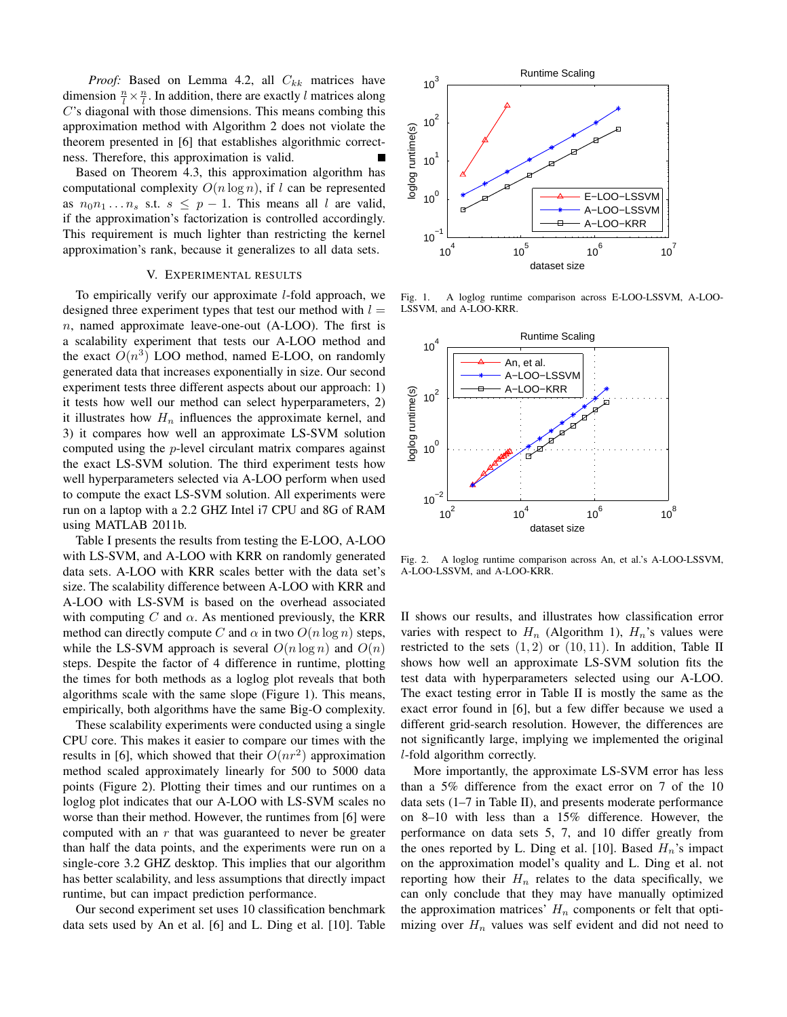*Proof:* Based on Lemma 4.2, all  $C_{kk}$  matrices have dimension  $\frac{n}{l} \times \frac{n}{l}$ . In addition, there are exactly l matrices along C's diagonal with those dimensions. This means combing this approximation method with Algorithm 2 does not violate the theorem presented in [6] that establishes algorithmic correctness. Therefore, this approximation is valid.

Based on Theorem 4.3, this approximation algorithm has computational complexity  $O(n \log n)$ , if l can be represented as  $n_0 n_1 \ldots n_s$  s.t.  $s \leq p-1$ . This means all l are valid, if the approximation's factorization is controlled accordingly. This requirement is much lighter than restricting the kernel approximation's rank, because it generalizes to all data sets.

## V. EXPERIMENTAL RESULTS

To empirically verify our approximate  $l$ -fold approach, we designed three experiment types that test our method with  $l =$  $n$ , named approximate leave-one-out (A-LOO). The first is a scalability experiment that tests our A-LOO method and the exact  $O(n^3)$  LOO method, named E-LOO, on randomly generated data that increases exponentially in size. Our second experiment tests three different aspects about our approach: 1) it tests how well our method can select hyperparameters, 2) it illustrates how  $H_n$  influences the approximate kernel, and 3) it compares how well an approximate LS-SVM solution computed using the p-level circulant matrix compares against the exact LS-SVM solution. The third experiment tests how well hyperparameters selected via A-LOO perform when used to compute the exact LS-SVM solution. All experiments were run on a laptop with a 2.2 GHZ Intel i7 CPU and 8G of RAM using MATLAB 2011b.

Table I presents the results from testing the E-LOO, A-LOO with LS-SVM, and A-LOO with KRR on randomly generated data sets. A-LOO with KRR scales better with the data set's size. The scalability difference between A-LOO with KRR and A-LOO with LS-SVM is based on the overhead associated with computing C and  $\alpha$ . As mentioned previously, the KRR method can directly compute C and  $\alpha$  in two  $O(n \log n)$  steps, while the LS-SVM approach is several  $O(n \log n)$  and  $O(n)$ steps. Despite the factor of 4 difference in runtime, plotting the times for both methods as a loglog plot reveals that both algorithms scale with the same slope (Figure 1). This means, empirically, both algorithms have the same Big-O complexity.

These scalability experiments were conducted using a single CPU core. This makes it easier to compare our times with the results in [6], which showed that their  $O(nr^2)$  approximation method scaled approximately linearly for 500 to 5000 data points (Figure 2). Plotting their times and our runtimes on a loglog plot indicates that our A-LOO with LS-SVM scales no worse than their method. However, the runtimes from [6] were computed with an  $r$  that was guaranteed to never be greater than half the data points, and the experiments were run on a single-core 3.2 GHZ desktop. This implies that our algorithm has better scalability, and less assumptions that directly impact runtime, but can impact prediction performance.

Our second experiment set uses 10 classification benchmark data sets used by An et al. [6] and L. Ding et al. [10]. Table



Fig. 1. A loglog runtime comparison across E-LOO-LSSVM, A-LOO-LSSVM, and A-LOO-KRR.



Fig. 2. A loglog runtime comparison across An, et al.'s A-LOO-LSSVM, A-LOO-LSSVM, and A-LOO-KRR.

II shows our results, and illustrates how classification error varies with respect to  $H_n$  (Algorithm 1),  $H_n$ 's values were restricted to the sets  $(1, 2)$  or  $(10, 11)$ . In addition, Table II shows how well an approximate LS-SVM solution fits the test data with hyperparameters selected using our A-LOO. The exact testing error in Table II is mostly the same as the exact error found in [6], but a few differ because we used a different grid-search resolution. However, the differences are not significantly large, implying we implemented the original l-fold algorithm correctly.

More importantly, the approximate LS-SVM error has less than a 5% difference from the exact error on 7 of the 10 data sets (1–7 in Table II), and presents moderate performance on 8–10 with less than a 15% difference. However, the performance on data sets 5, 7, and 10 differ greatly from the ones reported by L. Ding et al. [10]. Based  $H_n$ 's impact on the approximation model's quality and L. Ding et al. not reporting how their  $H_n$  relates to the data specifically, we can only conclude that they may have manually optimized the approximation matrices'  $H_n$  components or felt that optimizing over  $H_n$  values was self evident and did not need to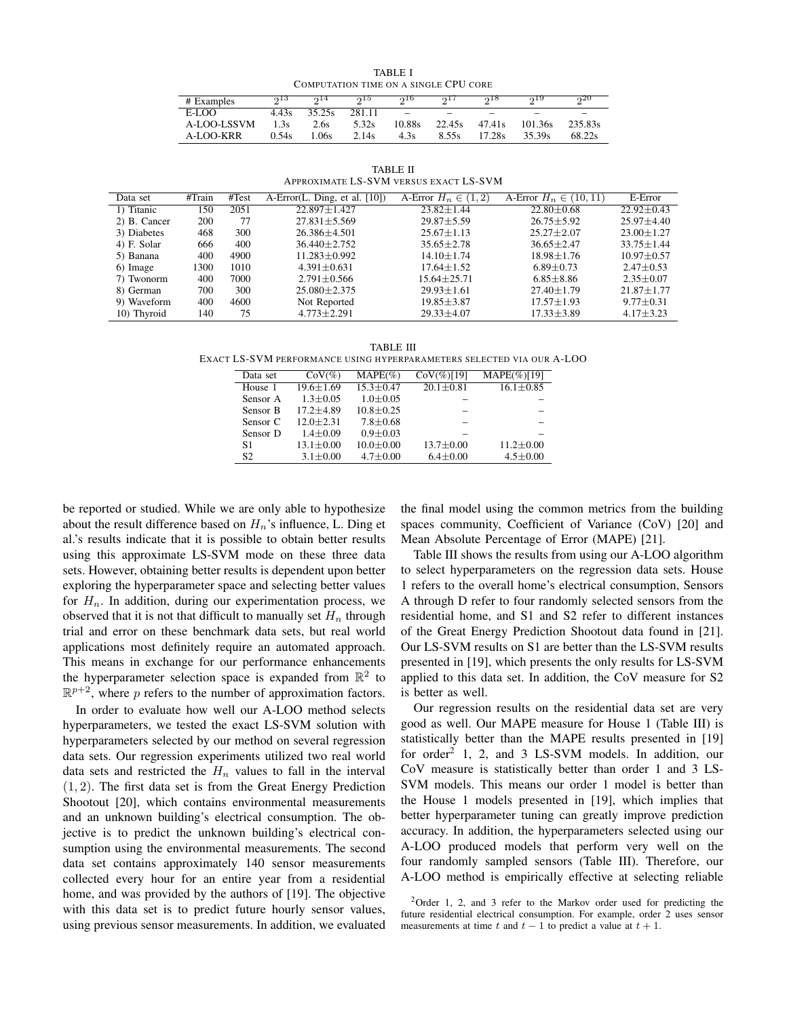TABLE I COMPUTATION TIME ON A SINGLE CPU CORE

| # Examples  | 513   | 214    | 215    | 216                      | 217                      | ച്                       | 919                      | 20                       |
|-------------|-------|--------|--------|--------------------------|--------------------------|--------------------------|--------------------------|--------------------------|
| E-LOO       | 4.43s | 35.25s | 281.11 | $\overline{\phantom{a}}$ | $\overline{\phantom{a}}$ | $\overline{\phantom{a}}$ | $\overline{\phantom{a}}$ | $\overline{\phantom{a}}$ |
| A-LOO-LSSVM | 1.3s  | 2.6s   | 5.32s  | 10.88s                   | 22.45s                   | 47.41s                   | 101.36s                  | 235.83s                  |
| A-LOO-KRR   | 0.54s | .06s   | 2.14s  | 4.3s                     | 8.55s                    | 17.28s                   | 35.39s                   | 68.22s                   |

TABLE II APPROXIMATE LS-SVM VERSUS EXACT LS-SVM

|              | #Train | #Test | $\overline{A\text{-Error}}(L, \text{Ding}, \text{et al. } [10])$ |                         |                            | E-Error          |
|--------------|--------|-------|------------------------------------------------------------------|-------------------------|----------------------------|------------------|
| Data set     |        |       |                                                                  | A-Error $H_n \in (1,2)$ | A-Error $H_n \in (10, 11)$ |                  |
| 1) Titanic   | 150    | 2051  | $22.897 \pm 1.427$                                               | $23.82 \pm 1.44$        | $22.80 \pm 0.68$           | $22.92 + 0.43$   |
| 2) B. Cancer | 200    | 77    | $27.831 \pm 5.569$                                               | $29.87 \pm 5.59$        | $26.75 \pm 5.92$           | $25.97 + 4.40$   |
| 3) Diabetes  | 468    | 300   | $26.386 \pm 4.501$                                               | $25.67 \pm 1.13$        | $25.27 \pm 2.07$           | $23.00 + 1.27$   |
| 4) F. Solar  | 666    | 400   | $36.440 \pm 2.752$                                               | $35.65 \pm 2.78$        | $36.65 \pm 2.47$           | $33.75 \pm 1.44$ |
| 5) Banana    | 400    | 4900  | $11.283 + 0.992$                                                 | $14.10 \pm 1.74$        | $18.98 \pm 1.76$           | $10.97 + 0.57$   |
| 6) Image     | 1300   | 1010  | $4.391 \pm 0.631$                                                | $17.64 \pm 1.52$        | $6.89 + 0.73$              | $2.47 + 0.53$    |
| 7) Twonorm   | 400    | 7000  | $2.791 \pm 0.566$                                                | $15.64 \pm 25.71$       | $6.85 \pm 8.86$            | $2.35 + 0.07$    |
| 8) German    | 700    | 300   | $25.080 \pm 2.375$                                               | $29.93 \pm 1.61$        | $27.40 \pm 1.79$           | $21.87 \pm 1.77$ |
| 9) Waveform  | 400    | 4600  | Not Reported                                                     | $19.85 \pm 3.87$        | $17.57 \pm 1.93$           | $9.77 \pm 0.31$  |
| 10) Thyroid  | 140    | 75    | $4.773 \pm 2.291$                                                | $29.33 \pm 4.07$        | $17.33 \pm 3.89$           | $4.17 \pm 3.23$  |
|              |        |       |                                                                  |                         |                            |                  |

TABLE III

EXACT LS-SVM PERFORMANCE USING HYPERPARAMETERS SELECTED VIA OUR A-LOO

| Data set       | $CoV(\%)$       | $MAPE(\%)$      | $CoV(\%)[19]$   | $MAPE(\%)[19]$  |
|----------------|-----------------|-----------------|-----------------|-----------------|
| House 1        | $19.6 \pm 1.69$ | $15.3 + 0.47$   | $20.1 \pm 0.81$ | $16.1 \pm 0.85$ |
| Sensor A       | $1.3 + 0.05$    | $1.0 + 0.05$    |                 |                 |
| Sensor B       | $17.2 + 4.89$   | $10.8 \pm 0.25$ |                 |                 |
| Sensor C       | $12.0 + 2.31$   | $7.8 + 0.68$    |                 |                 |
| Sensor D       | $1.4 + 0.09$    | $0.9 + 0.03$    |                 |                 |
| S1             | $13.1 + 0.00$   | $10.0 + 0.00$   | $13.7 + 0.00$   | $11.2 + 0.00$   |
| S <sub>2</sub> | $3.1 + 0.00$    | $4.7 + 0.00$    | $6.4 + 0.00$    | $4.5 \pm 0.00$  |

be reported or studied. While we are only able to hypothesize about the result difference based on  $H_n$ 's influence, L. Ding et al.'s results indicate that it is possible to obtain better results using this approximate LS-SVM mode on these three data sets. However, obtaining better results is dependent upon better exploring the hyperparameter space and selecting better values for  $H_n$ . In addition, during our experimentation process, we observed that it is not that difficult to manually set  $H_n$  through trial and error on these benchmark data sets, but real world applications most definitely require an automated approach. This means in exchange for our performance enhancements the hyperparameter selection space is expanded from  $\mathbb{R}^2$  to  $\mathbb{R}^{p+2}$ , where p refers to the number of approximation factors.

In order to evaluate how well our A-LOO method selects hyperparameters, we tested the exact LS-SVM solution with hyperparameters selected by our method on several regression data sets. Our regression experiments utilized two real world data sets and restricted the  $H_n$  values to fall in the interval  $(1, 2)$ . The first data set is from the Great Energy Prediction Shootout [20], which contains environmental measurements and an unknown building's electrical consumption. The objective is to predict the unknown building's electrical consumption using the environmental measurements. The second data set contains approximately 140 sensor measurements collected every hour for an entire year from a residential home, and was provided by the authors of [19]. The objective with this data set is to predict future hourly sensor values, using previous sensor measurements. In addition, we evaluated the final model using the common metrics from the building spaces community, Coefficient of Variance (CoV) [20] and Mean Absolute Percentage of Error (MAPE) [21].

Table III shows the results from using our A-LOO algorithm to select hyperparameters on the regression data sets. House 1 refers to the overall home's electrical consumption, Sensors A through D refer to four randomly selected sensors from the residential home, and S1 and S2 refer to different instances of the Great Energy Prediction Shootout data found in [21]. Our LS-SVM results on S1 are better than the LS-SVM results presented in [19], which presents the only results for LS-SVM applied to this data set. In addition, the CoV measure for S2 is better as well.

Our regression results on the residential data set are very good as well. Our MAPE measure for House 1 (Table III) is statistically better than the MAPE results presented in [19] for order<sup>2</sup> 1, 2, and 3 LS-SVM models. In addition, our CoV measure is statistically better than order 1 and 3 LS-SVM models. This means our order 1 model is better than the House 1 models presented in [19], which implies that better hyperparameter tuning can greatly improve prediction accuracy. In addition, the hyperparameters selected using our A-LOO produced models that perform very well on the four randomly sampled sensors (Table III). Therefore, our A-LOO method is empirically effective at selecting reliable

<sup>&</sup>lt;sup>2</sup>Order 1, 2, and 3 refer to the Markov order used for predicting the future residential electrical consumption. For example, order 2 uses sensor measurements at time t and  $t - 1$  to predict a value at  $t + 1$ .